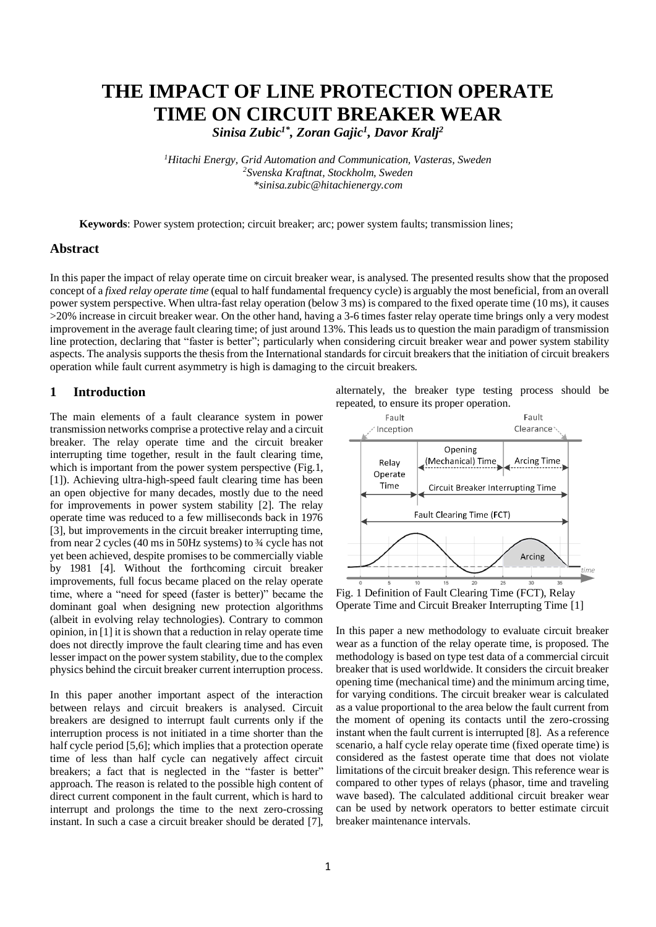# **THE IMPACT OF LINE PROTECTION OPERATE TIME ON CIRCUIT BREAKER WEAR**

*Sinisa Zubic1\* , Zoran Gajic<sup>1</sup> , Davor Kralj<sup>2</sup>*

*<sup>1</sup>Hitachi Energy, Grid Automation and Communication, Vasteras, Sweden <sup>2</sup>Svenska Kraftnat, Stockholm, Sweden \*sinisa.zubic@hitachienergy.com*

**Keywords**: Power system protection; circuit breaker; arc; power system faults; transmission lines;

## **Abstract**

In this paper the impact of relay operate time on circuit breaker wear, is analysed. The presented results show that the proposed concept of a *fixed relay operate time* (equal to half fundamental frequency cycle) is arguably the most beneficial, from an overall power system perspective. When ultra-fast relay operation (below 3 ms) is compared to the fixed operate time (10 ms), it causes >20% increase in circuit breaker wear. On the other hand, having a 3-6 times faster relay operate time brings only a very modest improvement in the average fault clearing time; of just around 13%. This leads us to question the main paradigm of transmission line protection, declaring that "faster is better"; particularly when considering circuit breaker wear and power system stability aspects. The analysis supports the thesis from the International standards for circuit breakers that the initiation of circuit breakers operation while fault current asymmetry is high is damaging to the circuit breakers.

## **1 Introduction**

The main elements of a fault clearance system in power transmission networks comprise a protective relay and a circuit breaker. The relay operate time and the circuit breaker interrupting time together, result in the fault clearing time, which is important from the power system perspective (Fig.1, [1]). Achieving ultra-high-speed fault clearing time has been an open objective for many decades, mostly due to the need for improvements in power system stability [2]. The relay operate time was reduced to a few milliseconds back in 1976 [3], but improvements in the circuit breaker interrupting time, from near 2 cycles (40 ms in 50Hz systems) to ¾ cycle has not yet been achieved, despite promises to be commercially viable by 1981 [4]. Without the forthcoming circuit breaker improvements, full focus became placed on the relay operate time, where a "need for speed (faster is better)" became the dominant goal when designing new protection algorithms (albeit in evolving relay technologies). Contrary to common opinion, in [1] it is shown that a reduction in relay operate time does not directly improve the fault clearing time and has even lesser impact on the power system stability, due to the complex physics behind the circuit breaker current interruption process.

In this paper another important aspect of the interaction between relays and circuit breakers is analysed. Circuit breakers are designed to interrupt fault currents only if the interruption process is not initiated in a time shorter than the half cycle period [5,6]; which implies that a protection operate time of less than half cycle can negatively affect circuit breakers; a fact that is neglected in the "faster is better" approach. The reason is related to the possible high content of direct current component in the fault current, which is hard to interrupt and prolongs the time to the next zero-crossing instant. In such a case a circuit breaker should be derated [7], alternately, the breaker type testing process should be repeated, to ensure its proper operation.



Operate Time and Circuit Breaker Interrupting Time [1]

In this paper a new methodology to evaluate circuit breaker wear as a function of the relay operate time, is proposed. The methodology is based on type test data of a commercial circuit breaker that is used worldwide. It considers the circuit breaker opening time (mechanical time) and the minimum arcing time, for varying conditions. The circuit breaker wear is calculated as a value proportional to the area below the fault current from the moment of opening its contacts until the zero-crossing instant when the fault current is interrupted [8]. As a reference scenario, a half cycle relay operate time (fixed operate time) is considered as the fastest operate time that does not violate limitations of the circuit breaker design. This reference wear is compared to other types of relays (phasor, time and traveling wave based). The calculated additional circuit breaker wear can be used by network operators to better estimate circuit breaker maintenance intervals.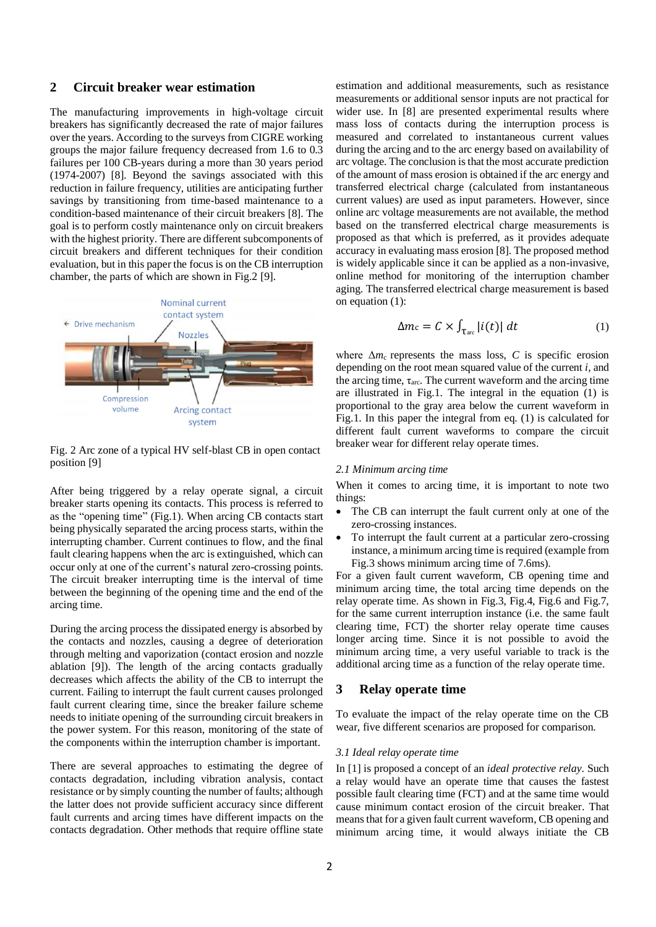## **2 Circuit breaker wear estimation**

The manufacturing improvements in high-voltage circuit breakers has significantly decreased the rate of major failures over the years. According to the surveys from CIGRE working groups the major failure frequency decreased from 1.6 to 0.3 failures per 100 CB-years during a more than 30 years period (1974-2007) [8]. Beyond the savings associated with this reduction in failure frequency, utilities are anticipating further savings by transitioning from time-based maintenance to a condition-based maintenance of their circuit breakers [8]. The goal is to perform costly maintenance only on circuit breakers with the highest priority. There are different subcomponents of circuit breakers and different techniques for their condition evaluation, but in this paper the focus is on the CB interruption chamber, the parts of which are shown in Fig.2 [9].



Fig. 2 Arc zone of a typical HV self-blast CB in open contact position [9]

After being triggered by a relay operate signal, a circuit breaker starts opening its contacts. This process is referred to as the "opening time" (Fig.1). When arcing CB contacts start being physically separated the arcing process starts, within the interrupting chamber. Current continues to flow, and the final fault clearing happens when the arc is extinguished, which can occur only at one of the current's natural zero-crossing points. The circuit breaker interrupting time is the interval of time between the beginning of the opening time and the end of the arcing time.

During the arcing process the dissipated energy is absorbed by the contacts and nozzles, causing a degree of deterioration through melting and vaporization (contact erosion and nozzle ablation [9]). The length of the arcing contacts gradually decreases which affects the ability of the CB to interrupt the current. Failing to interrupt the fault current causes prolonged fault current clearing time, since the breaker failure scheme needs to initiate opening of the surrounding circuit breakers in the power system. For this reason, monitoring of the state of the components within the interruption chamber is important.

There are several approaches to estimating the degree of contacts degradation, including vibration analysis, contact resistance or by simply counting the number of faults; although the latter does not provide sufficient accuracy since different fault currents and arcing times have different impacts on the contacts degradation. Other methods that require offline state

estimation and additional measurements, such as resistance measurements or additional sensor inputs are not practical for wider use. In [8] are presented experimental results where mass loss of contacts during the interruption process is measured and correlated to instantaneous current values during the arcing and to the arc energy based on availability of arc voltage. The conclusion is that the most accurate prediction of the amount of mass erosion is obtained if the arc energy and transferred electrical charge (calculated from instantaneous current values) are used as input parameters. However, since online arc voltage measurements are not available, the method based on the transferred electrical charge measurements is proposed as that which is preferred, as it provides adequate accuracy in evaluating mass erosion [8]. The proposed method is widely applicable since it can be applied as a non-invasive, online method for monitoring of the interruption chamber aging. The transferred electrical charge measurement is based on equation (1):

$$
\Delta m_{\rm c} = C \times \int_{\rm Tarc} |i(t)| \, dt \tag{1}
$$

where  $\Delta m_c$  represents the mass loss, *C* is specific erosion depending on the root mean squared value of the current *i*, and the arcing time,  $\tau_{\text{arc}}$ . The current waveform and the arcing time are illustrated in Fig.1. The integral in the equation  $(1)$  is proportional to the gray area below the current waveform in Fig.1. In this paper the integral from eq. (1) is calculated for different fault current waveforms to compare the circuit breaker wear for different relay operate times.

### *2.1 Minimum arcing time*

When it comes to arcing time, it is important to note two things:

- The CB can interrupt the fault current only at one of the zero-crossing instances.
- To interrupt the fault current at a particular zero-crossing instance, a minimum arcing time is required (example from Fig.3 shows minimum arcing time of 7.6ms).

For a given fault current waveform, CB opening time and minimum arcing time, the total arcing time depends on the relay operate time. As shown in Fig.3, Fig.4, Fig.6 and Fig.7, for the same current interruption instance (i.e. the same fault clearing time, FCT) the shorter relay operate time causes longer arcing time. Since it is not possible to avoid the minimum arcing time, a very useful variable to track is the additional arcing time as a function of the relay operate time.

## **3 Relay operate time**

To evaluate the impact of the relay operate time on the CB wear, five different scenarios are proposed for comparison.

#### *3.1 Ideal relay operate time*

In [1] is proposed a concept of an *ideal protective relay*. Such a relay would have an operate time that causes the fastest possible fault clearing time (FCT) and at the same time would cause minimum contact erosion of the circuit breaker. That means that for a given fault current waveform, CB opening and minimum arcing time, it would always initiate the CB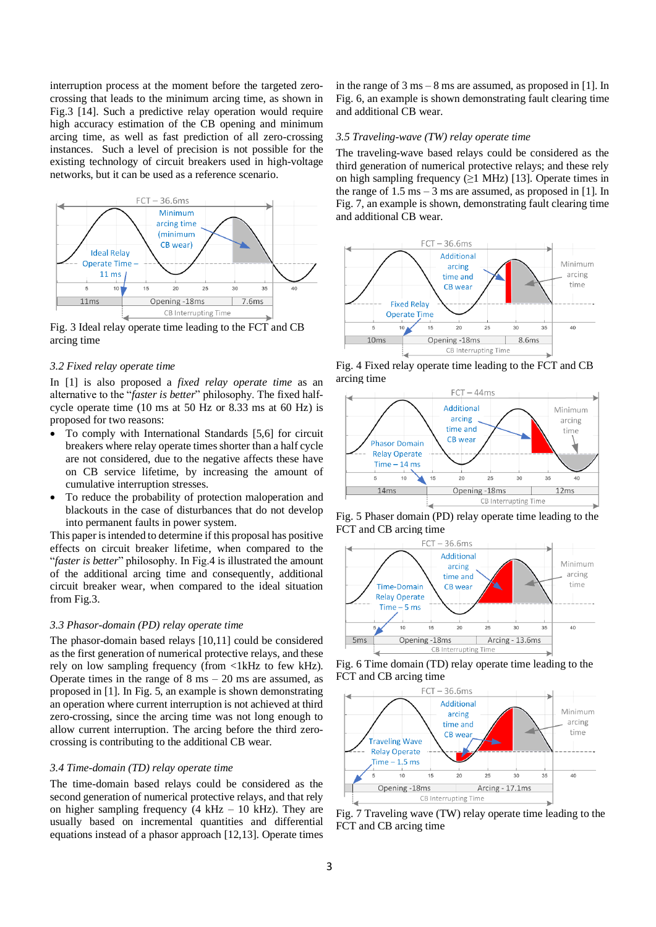interruption process at the moment before the targeted zerocrossing that leads to the minimum arcing time, as shown in Fig.3 [14]. Such a predictive relay operation would require high accuracy estimation of the CB opening and minimum arcing time, as well as fast prediction of all zero-crossing instances. Such a level of precision is not possible for the existing technology of circuit breakers used in high-voltage networks, but it can be used as a reference scenario.



Fig. 3 Ideal relay operate time leading to the FCT and CB arcing time

### *3.2 Fixed relay operate time*

In [1] is also proposed a *fixed relay operate time* as an alternative to the "*faster is better*" philosophy. The fixed halfcycle operate time (10 ms at 50 Hz or 8.33 ms at 60 Hz) is proposed for two reasons:

- To comply with International Standards [5,6] for circuit breakers where relay operate times shorter than a half cycle are not considered, due to the negative affects these have on CB service lifetime, by increasing the amount of cumulative interruption stresses.
- To reduce the probability of protection maloperation and blackouts in the case of disturbances that do not develop into permanent faults in power system.

This paper is intended to determine if this proposal has positive effects on circuit breaker lifetime, when compared to the "*faster is better*" philosophy. In Fig.4 is illustrated the amount of the additional arcing time and consequently, additional circuit breaker wear, when compared to the ideal situation from Fig.3.

#### *3.3 Phasor-domain (PD) relay operate time*

The phasor-domain based relays [10,11] could be considered as the first generation of numerical protective relays, and these rely on low sampling frequency (from <1kHz to few kHz). Operate times in the range of  $8 \text{ ms} - 20 \text{ ms}$  are assumed, as proposed in [1]. In Fig. 5, an example is shown demonstrating an operation where current interruption is not achieved at third zero-crossing, since the arcing time was not long enough to allow current interruption. The arcing before the third zerocrossing is contributing to the additional CB wear.

### *3.4 Time-domain (TD) relay operate time*

The time-domain based relays could be considered as the second generation of numerical protective relays, and that rely on higher sampling frequency  $(4 \text{ kHz} - 10 \text{ kHz})$ . They are usually based on incremental quantities and differential equations instead of a phasor approach [12,13]. Operate times in the range of 3 ms – 8 ms are assumed, as proposed in [1]. In Fig. 6, an example is shown demonstrating fault clearing time and additional CB wear.

#### *3.5 Traveling-wave (TW) relay operate time*

The traveling-wave based relays could be considered as the third generation of numerical protective relays; and these rely on high sampling frequency  $(\geq)$  MHz) [13]. Operate times in the range of  $1.5 \text{ ms} - 3 \text{ ms}$  are assumed, as proposed in [1]. In Fig. 7, an example is shown, demonstrating fault clearing time and additional CB wear.



Fig. 4 Fixed relay operate time leading to the FCT and CB arcing time



Fig. 5 Phaser domain (PD) relay operate time leading to the FCT and CB arcing time



Fig. 6 Time domain (TD) relay operate time leading to the FCT and CB arcing time



Fig. 7 Traveling wave (TW) relay operate time leading to the FCT and CB arcing time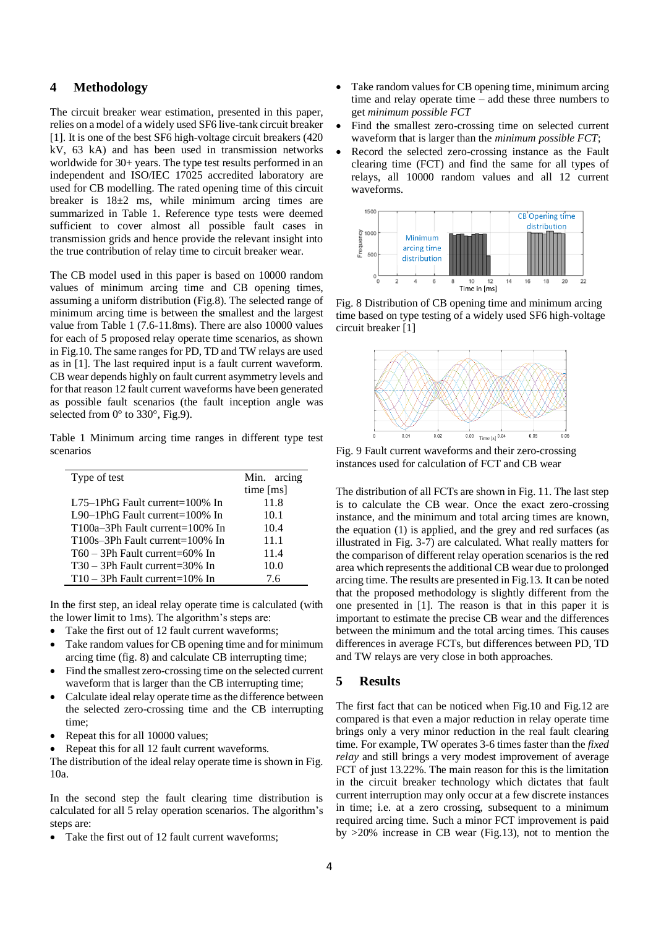## **4 Methodology**

The circuit breaker wear estimation, presented in this paper, relies on a model of a widely used SF6 live-tank circuit breaker [1]. It is one of the best SF6 high-voltage circuit breakers (420 kV, 63 kA) and has been used in transmission networks worldwide for 30+ years. The type test results performed in an independent and ISO/IEC 17025 accredited laboratory are used for CB modelling. The rated opening time of this circuit breaker is  $18\pm2$  ms, while minimum arcing times are summarized in Table 1. Reference type tests were deemed sufficient to cover almost all possible fault cases in transmission grids and hence provide the relevant insight into the true contribution of relay time to circuit breaker wear.

The CB model used in this paper is based on 10000 random values of minimum arcing time and CB opening times, assuming a uniform distribution (Fig.8). The selected range of minimum arcing time is between the smallest and the largest value from Table 1 (7.6-11.8ms). There are also 10000 values for each of 5 proposed relay operate time scenarios, as shown in Fig.10. The same ranges for PD, TD and TW relays are used as in [1]. The last required input is a fault current waveform. CB wear depends highly on fault current asymmetry levels and for that reason 12 fault current waveforms have been generated as possible fault scenarios (the fault inception angle was selected from 0° to 330°, Fig.9).

Table 1 Minimum arcing time ranges in different type test scenarios

| Type of test                       | Min. arcing |  |
|------------------------------------|-------------|--|
|                                    | time [ms]   |  |
| L75-1PhG Fault current=100% In     | 11.8        |  |
| L90-1PhG Fault current= $100\%$ In | 10.1        |  |
| $T100a-3Ph$ Fault current=100% In  | 10.4        |  |
| $T100s-3Ph$ Fault current=100% In  | 11.1        |  |
| $T60 - 3Ph$ Fault current=60% In   | 11.4        |  |
| T30 – 3Ph Fault current=30% In     | 10.0        |  |
| $T10 - 3Ph$ Fault current=10% In   | 7.6         |  |

In the first step, an ideal relay operate time is calculated (with the lower limit to 1ms). The algorithm's steps are:

- Take the first out of 12 fault current waveforms;
- Take random values for CB opening time and for minimum arcing time (fig. 8) and calculate CB interrupting time;
- Find the smallest zero-crossing time on the selected current waveform that is larger than the CB interrupting time;
- Calculate ideal relay operate time as the difference between the selected zero-crossing time and the CB interrupting time;
- Repeat this for all 10000 values;
- Repeat this for all 12 fault current waveforms.

The distribution of the ideal relay operate time is shown in Fig. 10a.

In the second step the fault clearing time distribution is calculated for all 5 relay operation scenarios. The algorithm's steps are:

Take the first out of 12 fault current waveforms;

- Take random values for CB opening time, minimum arcing time and relay operate time – add these three numbers to get *minimum possible FCT*
- Find the smallest zero-crossing time on selected current waveform that is larger than the *minimum possible FCT*;
- Record the selected zero-crossing instance as the Fault clearing time (FCT) and find the same for all types of relays, all 10000 random values and all 12 current waveforms.



Fig. 8 Distribution of CB opening time and minimum arcing time based on type testing of a widely used SF6 high-voltage circuit breaker [1]



Fig. 9 Fault current waveforms and their zero-crossing instances used for calculation of FCT and CB wear

The distribution of all FCTs are shown in Fig. 11. The last step is to calculate the CB wear. Once the exact zero-crossing instance, and the minimum and total arcing times are known, the equation (1) is applied, and the grey and red surfaces (as illustrated in Fig. 3-7) are calculated. What really matters for the comparison of different relay operation scenarios is the red area which represents the additional CB wear due to prolonged arcing time. The results are presented in Fig.13. It can be noted that the proposed methodology is slightly different from the one presented in [1]. The reason is that in this paper it is important to estimate the precise CB wear and the differences between the minimum and the total arcing times. This causes differences in average FCTs, but differences between PD, TD and TW relays are very close in both approaches.

## **5 Results**

The first fact that can be noticed when Fig.10 and Fig.12 are compared is that even a major reduction in relay operate time brings only a very minor reduction in the real fault clearing time. For example, TW operates 3-6 times faster than the *fixed relay* and still brings a very modest improvement of average FCT of just 13.22%. The main reason for this is the limitation in the circuit breaker technology which dictates that fault current interruption may only occur at a few discrete instances in time; i.e. at a zero crossing, subsequent to a minimum required arcing time. Such a minor FCT improvement is paid by >20% increase in CB wear (Fig.13), not to mention the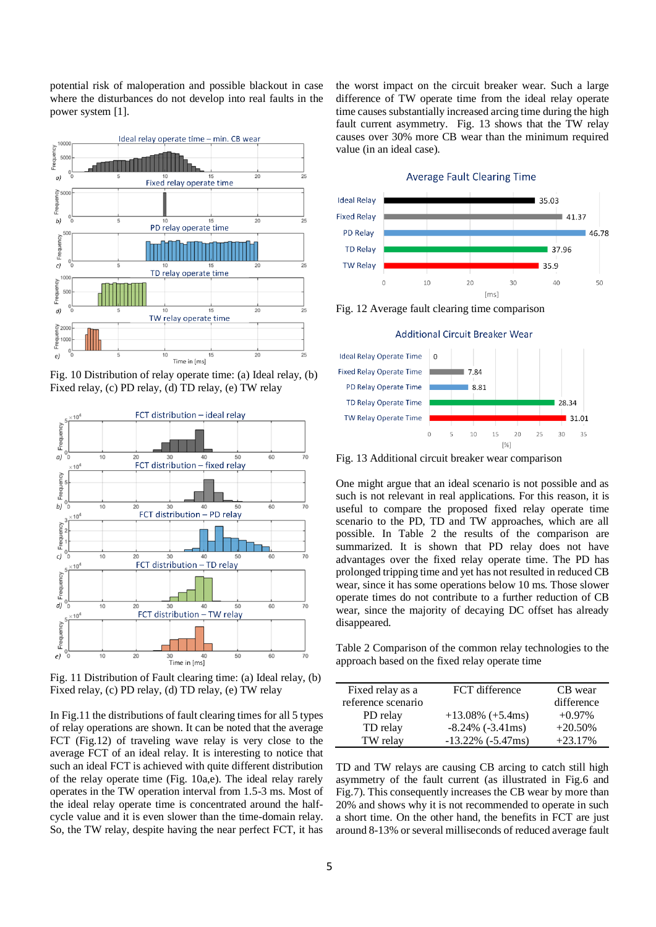potential risk of maloperation and possible blackout in case where the disturbances do not develop into real faults in the power system [1].



Fig. 10 Distribution of relay operate time: (a) Ideal relay, (b) Fixed relay, (c) PD relay, (d) TD relay, (e) TW relay



Fig. 11 Distribution of Fault clearing time: (a) Ideal relay, (b) Fixed relay, (c) PD relay, (d) TD relay, (e) TW relay

In Fig.11 the distributions of fault clearing times for all 5 types of relay operations are shown. It can be noted that the average FCT (Fig.12) of traveling wave relay is very close to the average FCT of an ideal relay. It is interesting to notice that such an ideal FCT is achieved with quite different distribution of the relay operate time (Fig. 10a,e). The ideal relay rarely operates in the TW operation interval from 1.5-3 ms. Most of the ideal relay operate time is concentrated around the halfcycle value and it is even slower than the time-domain relay. So, the TW relay, despite having the near perfect FCT, it has the worst impact on the circuit breaker wear. Such a large difference of TW operate time from the ideal relay operate time causes substantially increased arcing time during the high fault current asymmetry. Fig. 13 shows that the TW relay causes over 30% more CB wear than the minimum required value (in an ideal case).

#### **Average Fault Clearing Time**



Fig. 12 Average fault clearing time comparison





Fig. 13 Additional circuit breaker wear comparison

One might argue that an ideal scenario is not possible and as such is not relevant in real applications. For this reason, it is useful to compare the proposed fixed relay operate time scenario to the PD, TD and TW approaches, which are all possible. In Table 2 the results of the comparison are summarized. It is shown that PD relay does not have advantages over the fixed relay operate time. The PD has prolonged tripping time and yet has not resulted in reduced CB wear, since it has some operations below 10 ms. Those slower operate times do not contribute to a further reduction of CB wear, since the majority of decaying DC offset has already disappeared.

Table 2 Comparison of the common relay technologies to the approach based on the fixed relay operate time

| Fixed relay as a   | FCT difference           | CB wear    |
|--------------------|--------------------------|------------|
| reference scenario |                          | difference |
| PD relay           | $+13.08\%$ (+5.4ms)      | $+0.97\%$  |
| TD relay           | $-8.24\%$ ( $-3.41$ ms)  | $+20.50%$  |
| TW relay           | $-13.22\%$ ( $-5.47$ ms) | $+23.17%$  |

TD and TW relays are causing CB arcing to catch still high asymmetry of the fault current (as illustrated in Fig.6 and Fig.7). This consequently increases the CB wear by more than 20% and shows why it is not recommended to operate in such a short time. On the other hand, the benefits in FCT are just around 8-13% or several milliseconds of reduced average fault